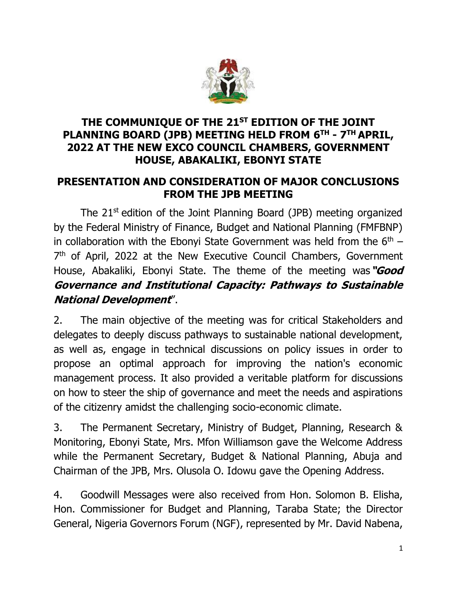

#### **THE COMMUNIQUE OF THE 21 ST EDITION OF THE JOINT PLANNING BOARD (JPB) MEETING HELD FROM 6 TH - 7 TH APRIL, 2022 AT THE NEW EXCO COUNCIL CHAMBERS, GOVERNMENT HOUSE, ABAKALIKI, EBONYI STATE**

#### **PRESENTATION AND CONSIDERATION OF MAJOR CONCLUSIONS FROM THE JPB MEETING**

The 21<sup>st</sup> edition of the Joint Planning Board (JPB) meeting organized by the Federal Ministry of Finance, Budget and National Planning (FMFBNP) in collaboration with the Ebonyi State Government was held from the  $6<sup>th</sup>$  – 7<sup>th</sup> of April, 2022 at the New Executive Council Chambers, Government House, Abakaliki, Ebonyi State. The theme of the meeting was**"Good Governance and Institutional Capacity: Pathways to Sustainable National Development**".

2. The main objective of the meeting was for critical Stakeholders and delegates to deeply discuss pathways to sustainable national development, as well as, engage in technical discussions on policy issues in order to propose an optimal approach for improving the nation's economic management process. It also provided a veritable platform for discussions on how to steer the ship of governance and meet the needs and aspirations of the citizenry amidst the challenging socio-economic climate.

3. The Permanent Secretary, Ministry of Budget, Planning, Research & Monitoring, Ebonyi State, Mrs. Mfon Williamson gave the Welcome Address while the Permanent Secretary, Budget & National Planning, Abuja and Chairman of the JPB, Mrs. Olusola O. Idowu gave the Opening Address.

4. Goodwill Messages were also received from Hon. Solomon B. Elisha, Hon. Commissioner for Budget and Planning, Taraba State; the Director General, Nigeria Governors Forum (NGF), represented by Mr. David Nabena,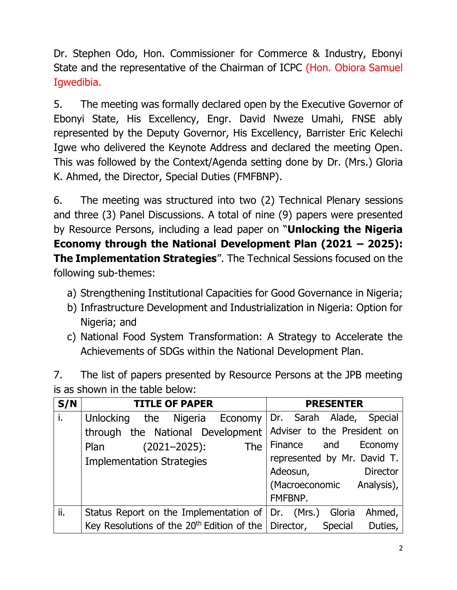Dr. Stephen Odo, Hon. Commissioner for Commerce & Industry, Ebonyi State and the representative of the Chairman of ICPC (Hon. Obiora Samuel Igwedibia.

5. The meeting was formally declared open by the Executive Governor of Ebonyi State, His Excellency, Engr. David Nweze Umahi, FNSE ably represented by the Deputy Governor, His Excellency, Barrister Eric Kelechi Igwe who delivered the Keynote Address and declared the meeting Open. This was followed by the Context/Agenda setting done by Dr. (Mrs.) Gloria K. Ahmed, the Director, Special Duties (FMFBNP).

6. The meeting was structured into two (2) Technical Plenary sessions and three (3) Panel Discussions. A total of nine (9) papers were presented by Resource Persons, including a lead paper on "**Unlocking the Nigeria Economy through the National Development Plan (2021 – 2025): The Implementation Strategies**". The Technical Sessions focused on the following sub-themes:

- a) Strengthening Institutional Capacities for Good Governance in Nigeria;
- b) Infrastructure Development and Industrialization in Nigeria: Option for Nigeria; and
- c) National Food System Transformation: A Strategy to Accelerate the Achievements of SDGs within the National Development Plan.

| 7. | The list of papers presented by Resource Persons at the JPB meeting |
|----|---------------------------------------------------------------------|
|    | is as shown in the table below:                                     |

| S/N | <b>TITLE OF PAPER</b>                                          | <b>PRESENTER</b>                             |
|-----|----------------------------------------------------------------|----------------------------------------------|
| i.  | <b>Unlocking</b>                                               | the Nigeria Economy Dr. Sarah Alade, Special |
|     | through the National Development   Adviser to the President on |                                              |
|     | <b>The</b><br>$(2021 - 2025)$ :<br>Plan                        | Finance and Economy                          |
|     | <b>Implementation Strategies</b>                               | represented by Mr. David T.                  |
|     |                                                                | <b>Director</b><br>Adeosun,                  |
|     |                                                                | (Macroeconomic Analysis),                    |
|     |                                                                | FMFBNP.                                      |
| ii. | Status Report on the Implementation of $ $ Dr. (Mrs.)          | Ahmed,<br>Gloria                             |
|     | Key Resolutions of the $20th$ Edition of the Director,         | Duties,<br><b>Special</b>                    |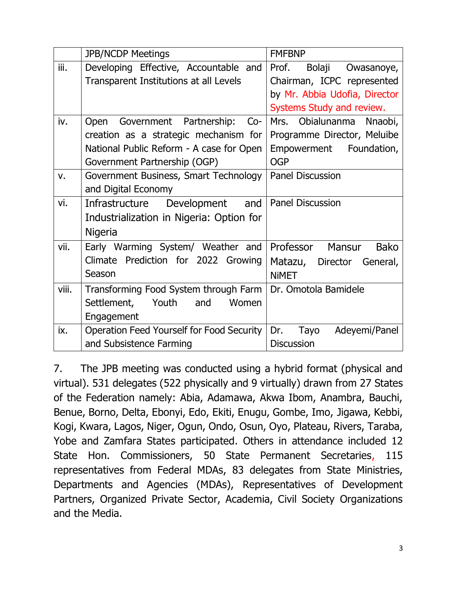|       | <b>JPB/NCDP Meetings</b>                  | <b>FMFBNP</b>                   |
|-------|-------------------------------------------|---------------------------------|
| iii.  | Developing Effective, Accountable and     | Prof.<br>Bolaji Owasanoye,      |
|       | Transparent Institutions at all Levels    | Chairman, ICPC represented      |
|       |                                           | by Mr. Abbia Udofia, Director   |
|       |                                           | Systems Study and review.       |
| iv.   | Open Government Partnership: Co-          | Obialunanma<br>Mrs.<br>Nnaobi,  |
|       | creation as a strategic mechanism for     | Programme Director, Meluibe     |
|       | National Public Reform - A case for Open  | Empowerment Foundation,         |
|       | Government Partnership (OGP)              | <b>OGP</b>                      |
| v.    | Government Business, Smart Technology     | <b>Panel Discussion</b>         |
|       | and Digital Economy                       |                                 |
| vi.   | Development and<br>Infrastructure         | <b>Panel Discussion</b>         |
|       | Industrialization in Nigeria: Option for  |                                 |
|       | <b>Nigeria</b>                            |                                 |
| vii.  | Early Warming System/ Weather and         | Professor Mansur<br><b>Bako</b> |
|       | Climate Prediction for 2022 Growing       | Matazu, Director General,       |
|       | Season                                    | <b>NIMET</b>                    |
| viii. | Transforming Food System through Farm     | Dr. Omotola Bamidele            |
|       | Settlement,<br>Youth<br>and<br>Women      |                                 |
|       | Engagement                                |                                 |
| ix.   | Operation Feed Yourself for Food Security | Dr.<br>Tayo<br>Adeyemi/Panel    |
|       | and Subsistence Farming                   | <b>Discussion</b>               |

7. The JPB meeting was conducted using a hybrid format (physical and virtual). 531 delegates (522 physically and 9 virtually) drawn from 27 States of the Federation namely: Abia, Adamawa, Akwa Ibom, Anambra, Bauchi, Benue, Borno, Delta, Ebonyi, Edo, Ekiti, Enugu, Gombe, Imo, Jigawa, Kebbi, Kogi, Kwara, Lagos, Niger, Ogun, Ondo, Osun, Oyo, Plateau, Rivers, Taraba, Yobe and Zamfara States participated. Others in attendance included 12 State Hon. Commissioners, 50 State Permanent Secretaries, 115 representatives from Federal MDAs, 83 delegates from State Ministries, Departments and Agencies (MDAs), Representatives of Development Partners, Organized Private Sector, Academia, Civil Society Organizations and the Media.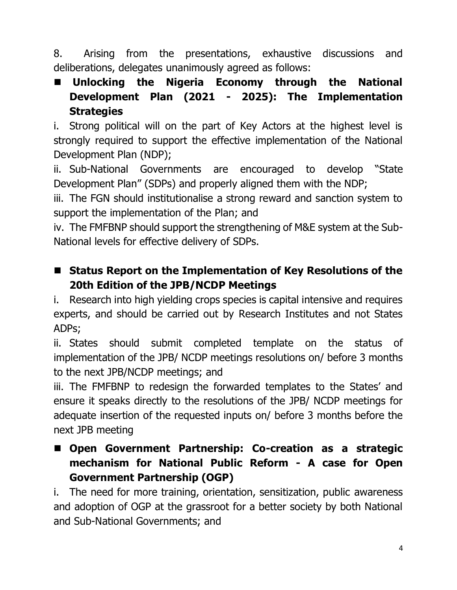8. Arising from the presentations, exhaustive discussions and deliberations, delegates unanimously agreed as follows:

 **Unlocking the Nigeria Economy through the National Development Plan (2021 - 2025): The Implementation Strategies**

i. Strong political will on the part of Key Actors at the highest level is strongly required to support the effective implementation of the National Development Plan (NDP);

ii. Sub-National Governments are encouraged to develop "State Development Plan" (SDPs) and properly aligned them with the NDP;

iii. The FGN should institutionalise a strong reward and sanction system to support the implementation of the Plan; and

iv. The FMFBNP should support the strengthening of M&E system at the Sub-National levels for effective delivery of SDPs.

■ Status Report on the Implementation of Key Resolutions of the **20th Edition of the JPB/NCDP Meetings**

i. Research into high yielding crops species is capital intensive and requires experts, and should be carried out by Research Institutes and not States ADPs;

ii. States should submit completed template on the status of implementation of the JPB/ NCDP meetings resolutions on/ before 3 months to the next JPB/NCDP meetings; and

iii. The FMFBNP to redesign the forwarded templates to the States' and ensure it speaks directly to the resolutions of the JPB/ NCDP meetings for adequate insertion of the requested inputs on/ before 3 months before the next JPB meeting

 **Open Government Partnership: Co-creation as a strategic mechanism for National Public Reform - A case for Open Government Partnership (OGP)**

i. The need for more training, orientation, sensitization, public awareness and adoption of OGP at the grassroot for a better society by both National and Sub-National Governments; and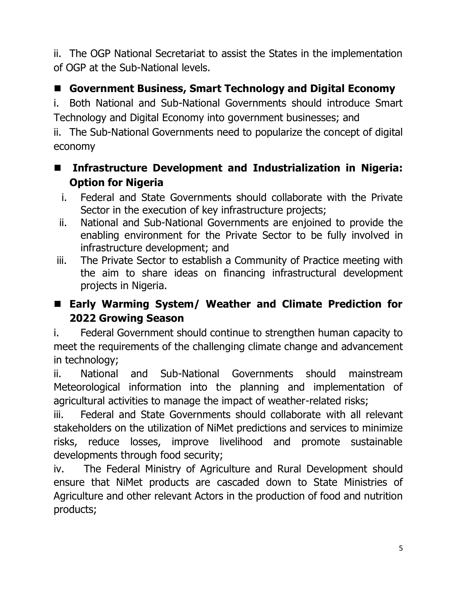ii. The OGP National Secretariat to assist the States in the implementation of OGP at the Sub-National levels.

# **Government Business, Smart Technology and Digital Economy**

i. Both National and Sub-National Governments should introduce Smart Technology and Digital Economy into government businesses; and

ii. The Sub-National Governments need to popularize the concept of digital economy

### **Infrastructure Development and Industrialization in Nigeria: Option for Nigeria**

- i. Federal and State Governments should collaborate with the Private Sector in the execution of key infrastructure projects;
- ii. National and Sub-National Governments are enjoined to provide the enabling environment for the Private Sector to be fully involved in infrastructure development; and
- iii. The Private Sector to establish a Community of Practice meeting with the aim to share ideas on financing infrastructural development projects in Nigeria.

## **Early Warming System/ Weather and Climate Prediction for 2022 Growing Season**

i. Federal Government should continue to strengthen human capacity to meet the requirements of the challenging climate change and advancement in technology;

ii. National and Sub-National Governments should mainstream Meteorological information into the planning and implementation of agricultural activities to manage the impact of weather-related risks;

iii. Federal and State Governments should collaborate with all relevant stakeholders on the utilization of NiMet predictions and services to minimize risks, reduce losses, improve livelihood and promote sustainable developments through food security;

iv. The Federal Ministry of Agriculture and Rural Development should ensure that NiMet products are cascaded down to State Ministries of Agriculture and other relevant Actors in the production of food and nutrition products;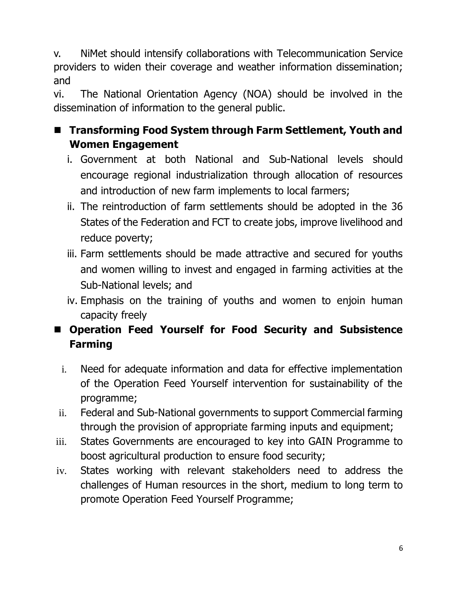v. NiMet should intensify collaborations with Telecommunication Service providers to widen their coverage and weather information dissemination; and

vi. The National Orientation Agency (NOA) should be involved in the dissemination of information to the general public.

# ■ Transforming Food System through Farm Settlement, Youth and **Women Engagement**

- i. Government at both National and Sub-National levels should encourage regional industrialization through allocation of resources and introduction of new farm implements to local farmers;
- ii. The reintroduction of farm settlements should be adopted in the 36 States of the Federation and FCT to create jobs, improve livelihood and reduce poverty;
- iii. Farm settlements should be made attractive and secured for youths and women willing to invest and engaged in farming activities at the Sub-National levels; and
- iv. Emphasis on the training of youths and women to enjoin human capacity freely
- **Operation Feed Yourself for Food Security and Subsistence Farming**
	- i. Need for adequate information and data for effective implementation of the Operation Feed Yourself intervention for sustainability of the programme;
- ii. Federal and Sub-National governments to support Commercial farming through the provision of appropriate farming inputs and equipment;
- iii. States Governments are encouraged to key into GAIN Programme to boost agricultural production to ensure food security;
- iv. States working with relevant stakeholders need to address the challenges of Human resources in the short, medium to long term to promote Operation Feed Yourself Programme;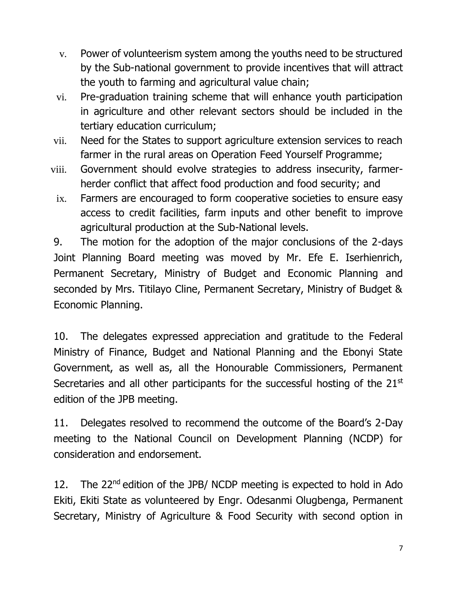- v. Power of volunteerism system among the youths need to be structured by the Sub-national government to provide incentives that will attract the youth to farming and agricultural value chain;
- vi. Pre-graduation training scheme that will enhance youth participation in agriculture and other relevant sectors should be included in the tertiary education curriculum;
- vii. Need for the States to support agriculture extension services to reach farmer in the rural areas on Operation Feed Yourself Programme;
- viii. Government should evolve strategies to address insecurity, farmerherder conflict that affect food production and food security; and
- ix. Farmers are encouraged to form cooperative societies to ensure easy access to credit facilities, farm inputs and other benefit to improve agricultural production at the Sub-National levels.

9. The motion for the adoption of the major conclusions of the 2-days Joint Planning Board meeting was moved by Mr. Efe E. Iserhienrich, Permanent Secretary, Ministry of Budget and Economic Planning and seconded by Mrs. Titilayo Cline, Permanent Secretary, Ministry of Budget & Economic Planning.

10. The delegates expressed appreciation and gratitude to the Federal Ministry of Finance, Budget and National Planning and the Ebonyi State Government, as well as, all the Honourable Commissioners, Permanent Secretaries and all other participants for the successful hosting of the 21<sup>st</sup> edition of the JPB meeting.

11. Delegates resolved to recommend the outcome of the Board's 2-Day meeting to the National Council on Development Planning (NCDP) for consideration and endorsement.

12. The  $22^{nd}$  edition of the JPB/NCDP meeting is expected to hold in Ado Ekiti, Ekiti State as volunteered by Engr. Odesanmi Olugbenga, Permanent Secretary, Ministry of Agriculture & Food Security with second option in